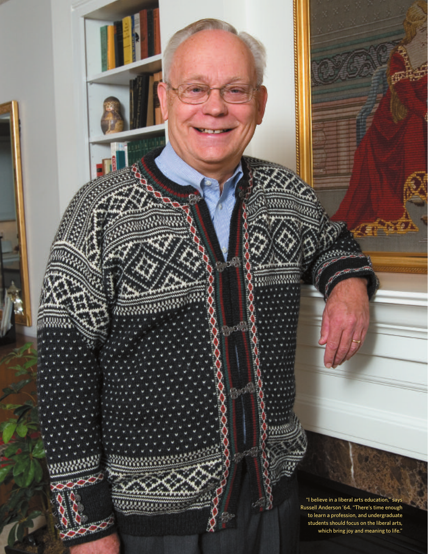"I believe in a liberal arts education," says<br>Russell Anderson '64. "There's time enough to learn a profession, and undergraduate students should focus on the liberal arts, which bring joy and meaning to life."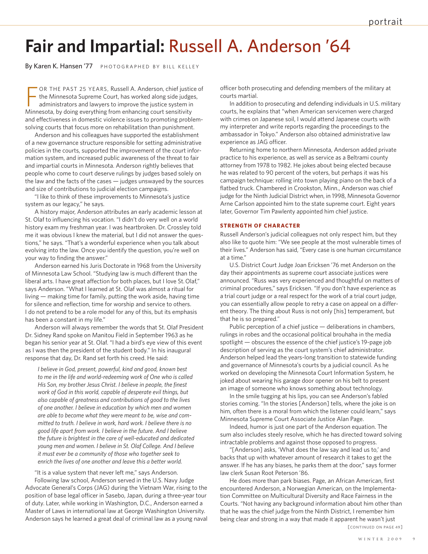## **Fair and Impartial:** Russell A. Anderson '64

By Karen K. Hansen '77 PHOTOGRAPHED BY BILL KELLEY

F OR THE PAST 25 YEARS, Russell A. Anderson, chief justice of the Minnesota Supreme Court, has worked along side judges, administrators and lawyers to improve the justice system in Minnesota, by doing everything from enhancing court sensitivity and effectiveness in domestic violence issues to promoting problemsolving courts that focus more on rehabilitation than punishment.

Anderson and his colleagues have supported the establishment of a new governance structure responsible for setting administrative policies in the courts, supported the improvement of the court information system, and increased public awareness of the threat to fair and impartial courts in Minnesota. Anderson rightly believes that people who come to court deserve rulings by judges based solely on the law and the facts of the cases — judges unswayed by the sources and size of contributions to judicial election campaigns.

"I like to think of these improvements to Minnesota's justice system as our legacy," he says.

A history major, Anderson attributes an early academic lesson at St. Olaf to influencing his vocation. "I didn't do very well on a world history exam my freshman year. I was heartbroken. Dr. Crossley told me it was obvious I knew the material, but I did not answer the questions," he says. "That's a wonderful experience when you talk about evolving into the law. Once you identify the question, you're well on your way to finding the answer."

Anderson earned his Juris Doctorate in 1968 from the University of Minnesota Law School. "Studying law is much different than the liberal arts. I have great affection for both places, but I love St.Olaf," says Anderson. "What I learned at St. Olaf was almost a ritual for living — making time for family, putting the work aside, having time for silence and reflection, time for worship and service to others. I do not pretend to be a role model for any of this, but its emphasis has been a constant in my life."

Anderson will always remember the words that St. Olaf President Dr. Sidney Rand spoke on Manitou Field in September 1963 as he began his senior year at St. Olaf. "I had a bird's eye view of this event as I was then the president of the student body." In his inaugural response that day, Dr. Rand set forth his creed. He said:

*I believe in God, present, powerful, kind and good, known best to me in the life and world-redeeming work of One who is called His Son, my brother Jesus Christ. I believe in people, the finest work of God in this world, capable of desperate evil things, but also capable of greatness and contributions of good to the lives of one another. I believe in education by which men and women are able to become what they were meant to be, wise and committed to truth. I believe in work, hard work. I believe there is no good life apart from work. I believe in the future. And I believe the future is brightest in the care of well-educated and dedicated young men and women. I believe in St. Olaf College. And I believe it must ever be a community of those who together seek to enrich the lives of one another and leave this a better world.*

"It is a value system that never left me," says Anderson. Following law school, Anderson served in the U.S. Navy Judge Advocate General's Corps (JAG) during the Vietnam War, rising to the position of base legal officer in Sasebo, Japan, during a three-year tour of duty. Later, while working in Washington, D.C., Anderson earned a Master of Laws in international law at George Washington University. Anderson says he learned a great deal of criminal law as a young naval officer both prosecuting and defending members of the military at courts martial.

In addition to prosecuting and defending individuals in U.S. military courts, he explains that "when American servicemen were charged with crimes on Japanese soil, I would attend Japanese courts with my interpreter and write reports regarding the proceedings to the ambassador in Tokyo." Anderson also obtained administrative law experience as JAG officer.

Returning home to northern Minnesota, Anderson added private practice to his experience, as well as service as a Beltrami county attorney from 1978 to 1982. He jokes about being elected because he was related to 90 percent of the voters, but perhaps it was his campaign technique: rolling into town playing piano on the back of a flatbed truck. Chambered in Crookston, Minn., Anderson was chief judge for the Ninth Judicial District when, in 1998, Minnesota Governor Arne Carlson appointed him to the state supreme court. Eight years later, Governor Tim Pawlenty appointed him chief justice.

## **STRENGTH OF CHARACTER**

Russell Anderson's judicial colleagues not only respect him, but they also like to quote him: "We see people at the most vulnerable times of their lives." Anderson has said, "Every case is one human circumstance at a time."

U.S. District Court Judge Joan Ericksen '76 met Anderson on the day their appointments as supreme court associate justices were announced. "Russ was very experienced and thoughtful on matters of criminal procedures," says Ericksen. "If you don't have experience as a trial court judge or a real respect for the work of a trial court judge, you can essentially allow people to retry a case on appeal on a different theory. The thing about Russ is not only [his] temperament, but that he is so prepared."

Public perception of a chief justice — deliberations in chambers, rulings in robes and the occasional political brouhaha in the media spotlight — obscures the essence of the chief justice's 19-page job description of serving as the court system's chief administrator. Anderson helped lead the years-long transition to statewide funding and governance of Minnesota's courts by a judicial council. As he worked on developing the Minnesota Court Information System, he joked about wearing his garage door opener on his belt to present an image of someone who knows something about technology.

In the smile tugging at his lips, you can see Anderson's fabled stories coming. "In the stories [Anderson] tells, where the joke is on him, often there is a moral from which the listener could learn," says Minnesota Supreme Court Associate Justice Alan Page.

Indeed, humor is just one part of the Anderson equation. The sum also includes steely resolve, which he has directed toward solving intractable problems and against those opposed to progress.

"[Anderson] asks, 'What does the law say and lead us to,' and backs that up with whatever amount of research it takes to get the answer. If he has any biases, he parks them at the door," says former law clerk Susan Root Peterson '86.

He does more than park biases. Page, an African American, first encountered Anderson, a Norwegian American, on the Implementation Committee on Multicultural Diversity and Race Fairness in the Courts. "Not having any background information about him other than that he was the chief judge from the Ninth District, I remember him being clear and strong in a way that made it apparent he wasn't just

[CONTINUED ON PAGE 49]